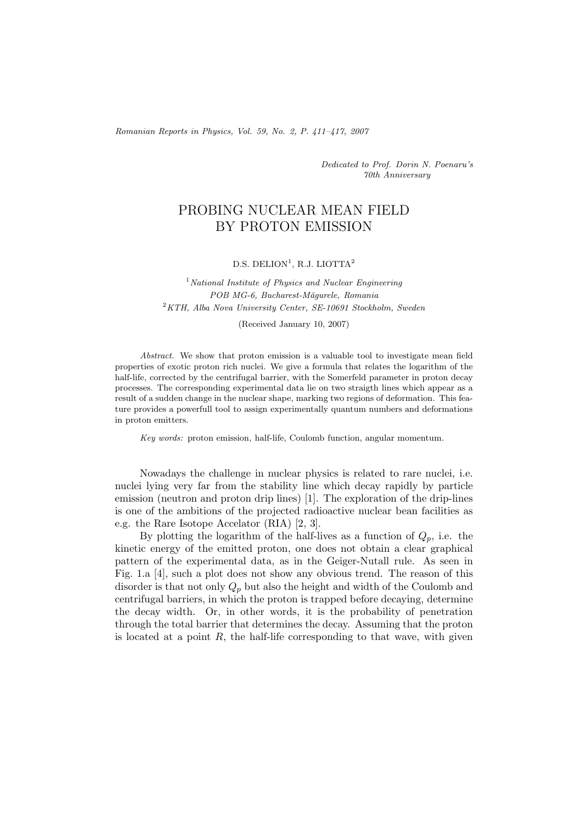*Romanian Reports in Physics, Vol. 59, No. 2, P. 411–417, 2007*

*Dedicated to Prof. Dorin N. Poenaru's 70th Anniversary*

## PROBING NUCLEAR MEAN FIELD BY PROTON EMISSION

## $D.S.$  DELION<sup>1</sup>, R.J. LIOTTA<sup>2</sup>

<sup>1</sup>*National Institute of Physics and Nuclear Engineering POB MG-6, Bucharest-M˘agurele, Romania* <sup>2</sup>*KTH, Alba Nova University Center, SE-10691 Stockholm, Sweden*

(Received January 10, 2007)

*Abstract.* We show that proton emission is a valuable tool to investigate mean field properties of exotic proton rich nuclei. We give a formula that relates the logarithm of the half-life, corrected by the centrifugal barrier, with the Somerfeld parameter in proton decay processes. The corresponding experimental data lie on two straigth lines which appear as a result of a sudden change in the nuclear shape, marking two regions of deformation. This feature provides a powerfull tool to assign experimentally quantum numbers and deformations in proton emitters.

*Key words:* proton emission, half-life, Coulomb function, angular momentum.

Nowadays the challenge in nuclear physics is related to rare nuclei, i.e. nuclei lying very far from the stability line which decay rapidly by particle emission (neutron and proton drip lines) [1]. The exploration of the drip-lines is one of the ambitions of the projected radioactive nuclear bean facilities as e.g. the Rare Isotope Accelator (RIA) [2, 3].

By plotting the logarithm of the half-lives as a function of  $Q_p$ , i.e. the kinetic energy of the emitted proton, one does not obtain a clear graphical pattern of the experimental data, as in the Geiger-Nutall rule. As seen in Fig. 1.a [4], such a plot does not show any obvious trend. The reason of this disorder is that not only Q*p* but also the height and width of the Coulomb and centrifugal barriers, in which the proton is trapped before decaying, determine the decay width. Or, in other words, it is the probability of penetration through the total barrier that determines the decay. Assuming that the proton is located at a point  $R$ , the half-life corresponding to that wave, with given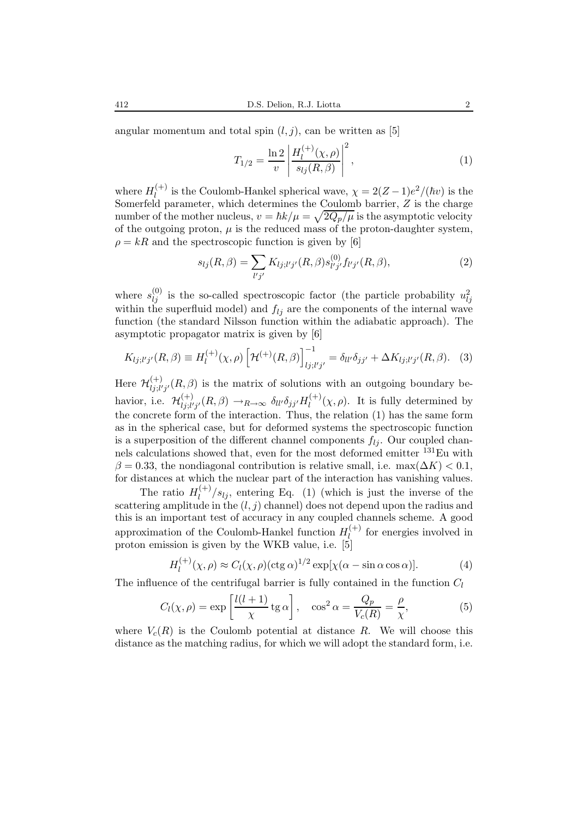angular momentum and total spin  $(l, j)$ , can be written as [5]

$$
T_{1/2} = \frac{\ln 2}{v} \left| \frac{H_l^{(+)}(\chi,\rho)}{s_{lj}(R,\beta)} \right|^2, \tag{1}
$$

where  $H_l^{(+)}$  is the Coulomb-Hankel spherical wave,  $\chi = 2(Z-1)e^2/(\hbar v)$  is the Somerfeld parameter, which determines the Coulomb barrier,  $Z$  is the charge number of the mother nucleus,  $v = \hbar k/\mu = \sqrt{2Q_p/\mu}$  is the asymptotic velocity of the outgoing proton,  $\mu$  is the reduced mass of the proton-daughter system,  $\rho = kR$  and the spectroscopic function is given by [6]

$$
s_{lj}(R,\beta) = \sum_{l'j'} K_{lj;l'j'}(R,\beta) s_{l'j'}^{(0)} f_{l'j'}(R,\beta),
$$
\n(2)

where  $s_{ij}^{(0)}$  is the so-called spectroscopic factor (the particle probability  $u_{ij}^2$ within the superfluid model) and  $f_{lj}$  are the components of the internal wave function (the standard Nilsson function within the adiabatic approach). The asymptotic propagator matrix is given by [6]

$$
K_{lj;l'j'}(R,\beta) \equiv H_l^{(+)}(\chi,\rho) \left[ \mathcal{H}^{(+)}(R,\beta) \right]_{lj;l'j'}^{-1} = \delta_{ll'} \delta_{jj'} + \Delta K_{lj;l'j'}(R,\beta). \tag{3}
$$

Here  $\mathcal{H}^{(+)}_{lj;l'j'}(R,\beta)$  is the matrix of solutions with an outgoing boundary behavior, i.e.  $\mathcal{H}_{lj;l'j'}^{(+)}(R,\beta) \to_{R\to\infty} \delta_{ll'}\delta_{jj'}H_l^{(+)}(\chi,\rho)$ . It is fully determined by the concrete form of the interaction. Thus, the relation (1) has the same form as in the spherical case, but for deformed systems the spectroscopic function is a superposition of the different channel components  $f_{li}$ . Our coupled channels calculations showed that, even for the most deformed emitter <sup>131</sup>Eu with  $\beta = 0.33$ , the nondiagonal contribution is relative small, i.e. max $(\Delta K) < 0.1$ , for distances at which the nuclear part of the interaction has vanishing values.

The ratio  $H_l^{(+)}/s_{lj}$ , entering Eq. (1) (which is just the inverse of the scattering amplitude in the  $(l, j)$  channel) does not depend upon the radius and this is an important test of accuracy in any coupled channels scheme. A good approximation of the Coulomb-Hankel function  $H_l^{(+)}$  for energies involved in proton emission is given by the WKB value, i.e. [5]

$$
H_l^{(+)}(\chi,\rho) \approx C_l(\chi,\rho)(\text{ctg }\alpha)^{1/2} \exp[\chi(\alpha - \sin \alpha \cos \alpha)]. \tag{4}
$$

The influence of the centrifugal barrier is fully contained in the function C*l*

$$
C_l(\chi,\rho) = \exp\left[\frac{l(l+1)}{\chi}\,\mathrm{tg}\,\alpha\right], \quad \cos^2\alpha = \frac{Q_p}{V_c(R)} = \frac{\rho}{\chi},\tag{5}
$$

where  $V_c(R)$  is the Coulomb potential at distance R. We will choose this distance as the matching radius, for which we will adopt the standard form, i.e.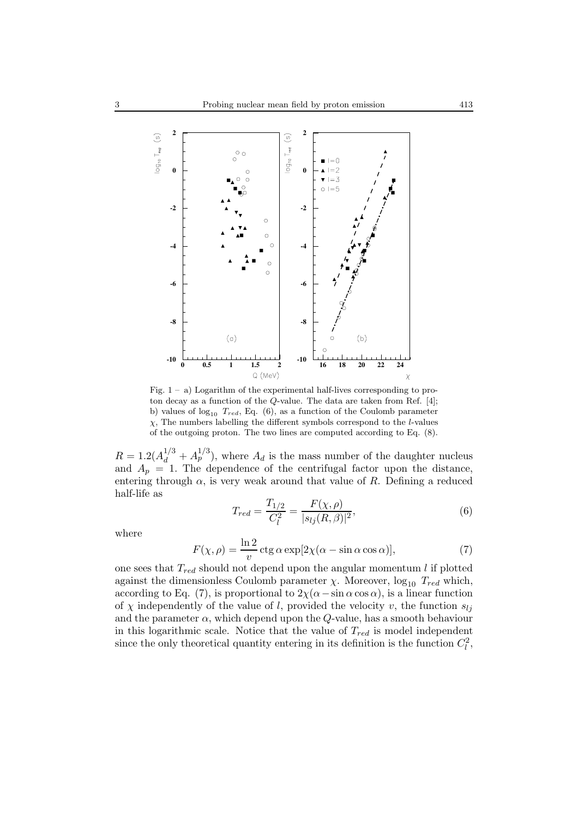

Fig.  $1 - a$ ) Logarithm of the experimental half-lives corresponding to proton decay as a function of the Q-value. The data are taken from Ref. [4]; b) values of  $log_{10} T_{red}$ , Eq. (6), as a function of the Coulomb parameter  $\chi$ , The numbers labelling the different symbols correspond to the *l*-values of the outgoing proton. The two lines are computed according to Eq. (8).

 $R = 1.2(A_d^{1/3} + A_p^{1/3})$ , where  $A_d$  is the mass number of the daughter nucleus and  $A_p = 1$ . The dependence of the centrifugal factor upon the distance, entering through  $\alpha$ , is very weak around that value of R. Defining a reduced half-life as

$$
T_{red} = \frac{T_{1/2}}{C_l^2} = \frac{F(\chi, \rho)}{|s_{lj}(R, \beta)|^2},\tag{6}
$$

where

$$
F(\chi, \rho) = \frac{\ln 2}{v} \operatorname{ctg} \alpha \exp[2\chi(\alpha - \sin \alpha \cos \alpha)], \tag{7}
$$

one sees that  $T_{red}$  should not depend upon the angular momentum  $l$  if plotted against the dimensionless Coulomb parameter  $\chi$ . Moreover,  $\log_{10} T_{red}$  which, according to Eq. (7), is proportional to  $2\chi(\alpha-\sin\alpha\cos\alpha)$ , is a linear function of  $\chi$  independently of the value of l, provided the velocity v, the function  $s_{lj}$ and the parameter  $\alpha$ , which depend upon the Q-value, has a smooth behaviour in this logarithmic scale. Notice that the value of T*red* is model independent since the only theoretical quantity entering in its definition is the function  $C_l^2$ ,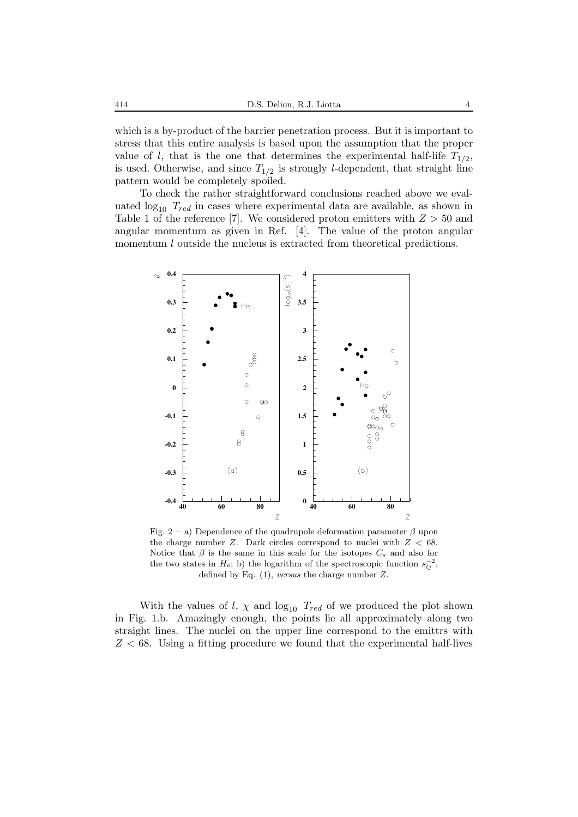which is a by-product of the barrier penetration process. But it is important to stress that this entire analysis is based upon the assumption that the proper value of *l*, that is the one that determines the experimental half-life  $T_{1/2}$ , is used. Otherwise, and since  $T_{1/2}$  is strongly *l*-dependent, that straight line pattern would be completely spoiled.

To check the rather straightforward conclusions reached above we evaluated  $log_{10} T_{red}$  in cases where experimental data are available, as shown in Table 1 of the reference [7]. We considered proton emitters with  $Z > 50$  and angular momentum as given in Ref. [4]. The value of the proton angular momentum *l* outside the nucleus is extracted from theoretical predictions.



Fig. 2 – a) Dependence of the quadrupole deformation parameter  $\beta$  upon the charge number  $Z$ . Dark circles correspond to nuclei with  $Z < 68$ . Notice that  $\beta$  is the same in this scale for the isotopes  $C_s$  and also for the two states in  $H_o$ ; b) the logarithm of the spectroscopic function  $s_{l,i}^{-2}$ , defined by Eq. (1), *versus* the charge number Z.

With the values of  $l, \chi$  and  $log_{10} T_{red}$  of we produced the plot shown in Fig. 1.b. Amazingly enough, the points lie all approximately along two straight lines. The nuclei on the upper line correspond to the emittrs with  $Z < 68$ . Using a fitting procedure we found that the experimental half-lives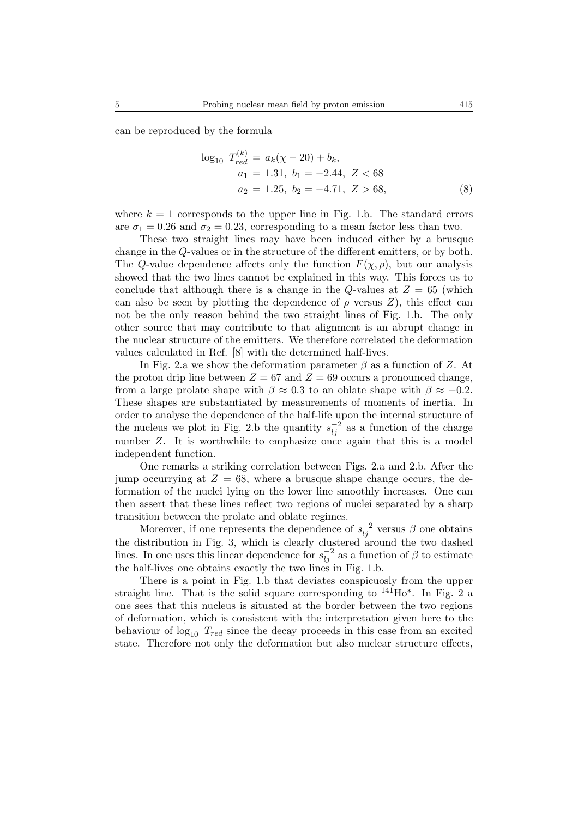can be reproduced by the formula

$$
\log_{10} T_{red}^{(k)} = a_k(\chi - 20) + b_k,
$$
  
\n
$$
a_1 = 1.31, b_1 = -2.44, Z < 68
$$
  
\n
$$
a_2 = 1.25, b_2 = -4.71, Z > 68,
$$
\n(8)

where  $k = 1$  corresponds to the upper line in Fig. 1.b. The standard errors are  $\sigma_1 = 0.26$  and  $\sigma_2 = 0.23$ , corresponding to a mean factor less than two.

These two straight lines may have been induced either by a brusque change in the Q-values or in the structure of the different emitters, or by both. The Q-value dependence affects only the function  $F(\chi, \rho)$ , but our analysis showed that the two lines cannot be explained in this way. This forces us to conclude that although there is a change in the Q-values at  $Z = 65$  (which can also be seen by plotting the dependence of  $\rho$  versus  $Z$ ), this effect can not be the only reason behind the two straight lines of Fig. 1.b. The only other source that may contribute to that alignment is an abrupt change in the nuclear structure of the emitters. We therefore correlated the deformation values calculated in Ref. [8] with the determined half-lives.

In Fig. 2.a we show the deformation parameter  $\beta$  as a function of Z. At the proton drip line between  $Z = 67$  and  $Z = 69$  occurs a pronounced change, from a large prolate shape with  $\beta \approx 0.3$  to an oblate shape with  $\beta \approx -0.2$ . These shapes are substantiated by measurements of moments of inertia. In order to analyse the dependence of the half-life upon the internal structure of the nucleus we plot in Fig. 2.b the quantity  $s_{1i}^{-2}$  as a function of the charge number Z. It is worthwhile to emphasize once again that this is a model independent function.

One remarks a striking correlation between Figs. 2.a and 2.b. After the jump occurrying at  $Z = 68$ , where a brusque shape change occurs, the deformation of the nuclei lying on the lower line smoothly increases. One can then assert that these lines reflect two regions of nuclei separated by a sharp transition between the prolate and oblate regimes.

Moreover, if one represents the dependence of  $s_{li}^{-2}$  versus  $\beta$  one obtains the distribution in Fig. 3, which is clearly clustered around the two dashed lines. In one uses this linear dependence for  $s_{li}^{-2}$  as a function of  $\beta$  to estimate the half-lives one obtains exactly the two lines in Fig. 1.b.

There is a point in Fig. 1.b that deviates conspicuosly from the upper straight line. That is the solid square corresponding to  $^{141}$ Ho<sup>\*</sup>. In Fig. 2 a one sees that this nucleus is situated at the border between the two regions of deformation, which is consistent with the interpretation given here to the behaviour of  $log_{10} T_{red}$  since the decay proceeds in this case from an excited state. Therefore not only the deformation but also nuclear structure effects,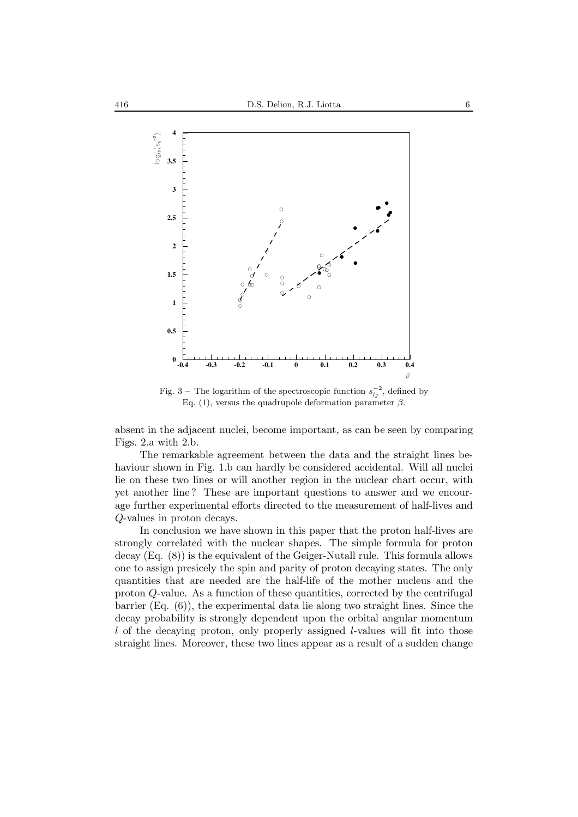

Fig. 3 – The logarithm of the spectroscopic function  $s_{1i}^{-2}$ , defined by Eq. (1), versus the quadrupole deformation parameter  $\beta$ .

absent in the adjacent nuclei, become important, as can be seen by comparing Figs. 2.a with 2.b.

The remarkable agreement between the data and the straight lines behaviour shown in Fig. 1.b can hardly be considered accidental. Will all nuclei lie on these two lines or will another region in the nuclear chart occur, with yet another line ? These are important questions to answer and we encourage further experimental efforts directed to the measurement of half-lives and Q-values in proton decays.

In conclusion we have shown in this paper that the proton half-lives are strongly correlated with the nuclear shapes. The simple formula for proton decay (Eq. (8)) is the equivalent of the Geiger-Nutall rule. This formula allows one to assign presicely the spin and parity of proton decaying states. The only quantities that are needed are the half-life of the mother nucleus and the proton Q-value. As a function of these quantities, corrected by the centrifugal barrier (Eq. (6)), the experimental data lie along two straight lines. Since the decay probability is strongly dependent upon the orbital angular momentum l of the decaying proton, only properly assigned l-values will fit into those straight lines. Moreover, these two lines appear as a result of a sudden change